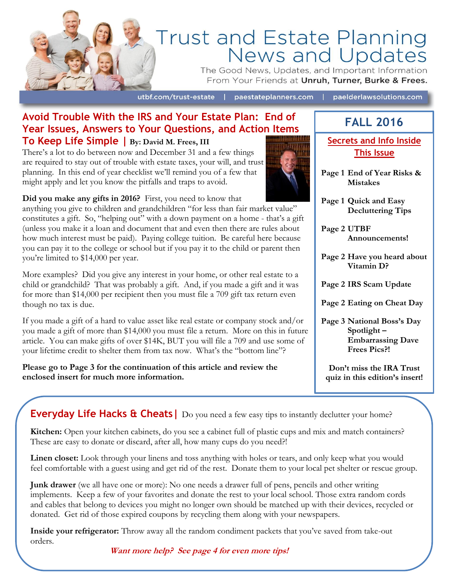

# Trust and Estate Planning<br>News and Updates

The Good News, Updates, and Important Information From Your Friends at Unruh, Turner, Burke & Frees.

utbf.com/trust-estate |

paestateplanners.com | paelderlawsolutions.com

### **Avoid Trouble With the IRS and Your Estate Plan: End of Year Issues, Answers to Your Questions, and Action Items To Keep Life Simple | By: David M. Frees, III**

There's a lot to do between now and December 31 and a few things are required to stay out of trouble with estate taxes, your will, and trust planning. In this end of year checklist we'll remind you of a few that might apply and let you know the pitfalls and traps to avoid.

**Did you make any gifts in 2016?** First, you need to know that

anything you give to children and grandchildren "for less than fair market value" constitutes a gift. So, "helping out" with a down payment on a home - that's a gift (unless you make it a loan and document that and even then there are rules about how much interest must be paid). Paying college tuition. Be careful here because you can pay it to the college or school but if you pay it to the child or parent then you're limited to \$14,000 per year.

More examples? Did you give any interest in your home, or other real estate to a child or grandchild? That was probably a gift. And, if you made a gift and it was for more than \$14,000 per recipient then you must file a 709 gift tax return even though no tax is due.

If you made a gift of a hard to value asset like real estate or company stock and/or you made a gift of more than \$14,000 you must file a return. More on this in future article. You can make gifts of over \$14K, BUT you will file a 709 and use some of your lifetime credit to shelter them from tax now. What's the "bottom line"?

**Please go to Page 3 for the continuation of this article and review the enclosed insert for much more information.**



**FALL 2016**

**Secrets and Info Inside This Issue**

- **Page 1 End of Year Risks & Mistakes**
- **Page 1 Quick and Easy Decluttering Tips**

**Page 2 UTBF Announcements!**

- **Page 2 Have you heard about Vitamin D?**
- **Page 2 IRS Scam Update**
- **Page 2 Eating on Cheat Day**
- **Page 3 National Boss's Day Spotlight – Embarrassing Dave Frees Pics?!**

**Don't miss the IRA Trust quiz in this edition's insert!**

**Everyday Life Hacks & Cheats** | Do you need a few easy tips to instantly declutter your home?

**Kitchen:** Open your kitchen cabinets, do you see a cabinet full of plastic cups and mix and match containers? These are easy to donate or discard, after all, how many cups do you need?!

**Linen closet:** Look through your linens and toss anything with holes or tears, and only keep what you would feel comfortable with a guest using and get rid of the rest. Donate them to your local pet shelter or rescue group.

**Junk drawer** (we all have one or more): No one needs a drawer full of pens, pencils and other writing implements. Keep a few of your favorites and donate the rest to your local school. Those extra random cords and cables that belong to devices you might no longer own should be matched up with their devices, recycled or donated. Get rid of those expired coupons by recycling them along with your newspapers.

**Inside your refrigerator:** Throw away all the random condiment packets that you've saved from take-out orders.

**Want more help? See page 4 for even more tips!**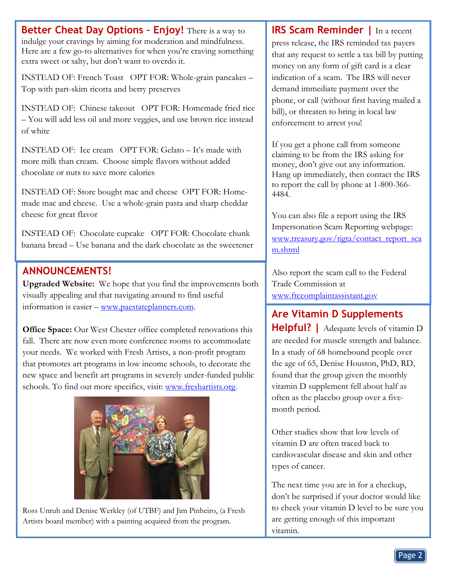**Better Cheat Day Options – Enjoy!** There is a way to indulge your cravings by aiming for moderation and mindfulness. Here are a few go-to alternatives for when you're craving something extra sweet or salty, but don't want to overdo it.

INSTEAD OF: French Toast OPT FOR: Whole-grain pancakes – Top with part-skim ricotta and berry preserves

INSTEAD OF: Chinese takeout OPT FOR: Homemade fried rice – You will add less oil and more veggies, and use brown rice instead of white

INSTEAD OF: Ice cream OPT FOR: Gelato – It's made with more milk than cream. Choose simple flavors without added chocolate or nuts to save more calories

INSTEAD OF: Store bought mac and cheese OPT FOR: Homemade mac and cheese. Use a whole-grain pasta and sharp cheddar cheese for great flavor

INSTEAD OF: Chocolate cupcake OPT FOR: Chocolate chunk banana bread – Use banana and the dark chocolate as the sweetener

# **ANNOUNCEMENTS!**

**Upgraded Website:** We hope that you find the improvements both visually appealing and that navigating around to find useful information is easier – [www.paestateplanners.com.](http://www.paestateplanners.com/)

**Office Space:** Our West Chester office completed renovations this fall. There are now even more conference rooms to accommodate your needs. We worked with Fresh Artists, a non-profit program that promotes art programs in low income schools, to decorate the new space and benefit art programs in severely under-funded public schools. To find out more specifics, visit: [www.freshartists.org.](http://www.freshartists.org/)



Ross Unruh and Denise Werkley (of UTBF) and Jim Pinheiro, (a Fresh Artists board member) with a painting acquired from the program.

**IRS Scam Reminder |** In a recent press release, the IRS reminded tax payers that any request to settle a tax bill by putting money on any form of gift card is a clear indication of a scam. The IRS will never demand immediate payment over the phone, or call (without first having mailed a bill), or threaten to bring in local law enforcement to arrest you!

If you get a phone call from someone claiming to be from the IRS asking for money, don't give out any information. Hang up immediately, then contact the IRS to report the call by phone at 1-800-366- 4484.

You can also file a report using the IRS Impersonation Scam Reporting webpage: [www.treasury.gov/tigta/contact\\_report\\_sca](http://www.treasury.gov/tigta/contact_report_scam.shtml) [m.shtml](http://www.treasury.gov/tigta/contact_report_scam.shtml)

Also report the scam call to the Federal Trade Commission at [www.ftccomplaintassistant.gov](http://www.ftccomplaintassistant.gov/)

# **Are Vitamin D Supplements**

**Helpful? |** Adequate levels of vitamin D are needed for muscle strength and balance. In a study of 68 homebound people over the age of 65, Denise Houston, PhD, RD, found that the group given the monthly vitamin D supplement fell about half as often as the placebo group over a fivemonth period.

Other studies show that low levels of vitamin D are often traced back to cardiovascular disease and skin and other types of cancer.

The next time you are in for a checkup, don't be surprised if your doctor would like to check your vitamin D level to be sure you are getting enough of this important vitamin.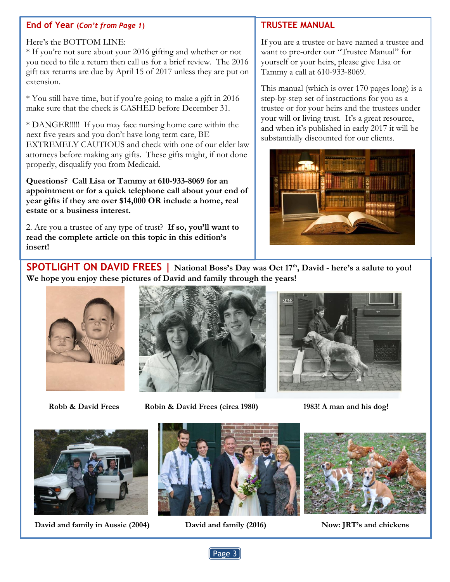#### **End of Year (***Con't from Page 1***)**

#### Here's the BOTTOM LINE:

\* If you're not sure about your 2016 gifting and whether or not you need to file a return then call us for a brief review. The 2016 gift tax returns are due by April 15 of 2017 unless they are put on extension.

\* You still have time, but if you're going to make a gift in 2016 make sure that the check is CASHED before December 31.

\* DANGER!!!!! If you may face nursing home care within the next five years and you don't have long term care, BE EXTREMELY CAUTIOUS and check with one of our elder law attorneys before making any gifts. These gifts might, if not done properly, disqualify you from Medicaid.

**Questions? Call Lisa or Tammy at 610-933-8069 for an appointment or for a quick telephone call about your end of year gifts if they are over \$14,000 OR include a home, real estate or a business interest.**

2. Are you a trustee of any type of trust? **If so, you'll want to read the complete article on this topic in this edition's insert!**

## **TRUSTEE MANUAL**

If you are a trustee or have named a trustee and want to pre-order our "Trustee Manual" for yourself or your heirs, please give Lisa or Tammy a call at 610-933-8069.

This manual (which is over 170 pages long) is a step-by-step set of instructions for you as a trustee or for your heirs and the trustees under your will or living trust. It's a great resource, and when it's published in early 2017 it will be substantially discounted for our clients.



**SPOTLIGHT ON DAVID FREES | National Boss's Day was Oct 17th , David - here's a salute to you! We hope you enjoy these pictures of David and family through the years!**





 **Robb & David Frees Robin & David Frees (circa 1980) 1983! A man and his dog!**



 **David and family in Aussie (2004) David and family (2016) Now: JRT's and chickens**





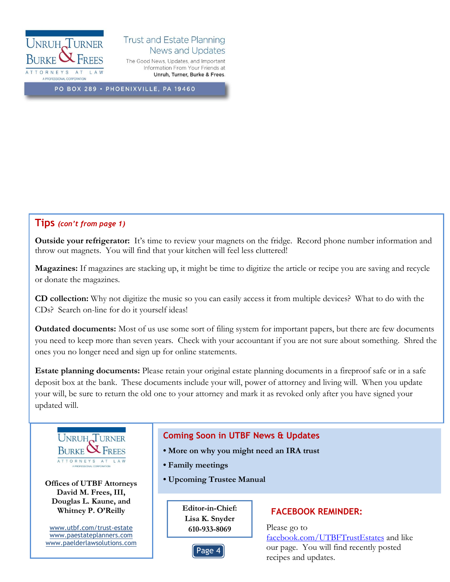

#### **Trust and Estate Planning News and Updates** The Good News, Updates, and Important

Information From Your Friends at Unruh, Turner, Burke & Frees.

PO BOX 289 · PHOENIXVILLE, PA 19460

#### **Tips** *(con't from page 1)*

**Outside your refrigerator:** It's time to review your magnets on the fridge. Record phone number information and throw out magnets. You will find that your kitchen will feel less cluttered!

**Magazines:** If magazines are stacking up, it might be time to digitize the article or recipe you are saving and recycle or donate the magazines.

**CD collection:** Why not digitize the music so you can easily access it from multiple devices? What to do with the CDs? Search on-line for do it yourself ideas!

**Outdated documents:** Most of us use some sort of filing system for important papers, but there are few documents you need to keep more than seven years. Check with your accountant if you are not sure about something. Shred the ones you no longer need and sign up for online statements.

**Estate planning documents:** Please retain your original estate planning documents in a fireproof safe or in a safe deposit box at the bank. These documents include your will, power of attorney and living will. When you update your will, be sure to return the old one to your attorney and mark it as revoked only after you have signed your updated will.



## **David M. Frees, III, Douglas L. Kaune, and Whitney P. O'Reilly**

[www.utbf.com/trust-estate](http://www.utbf.com/trust-estate) [www.paestateplanners.com](http://www.paestateplanners.com/) [www.paelderlawsolutions.com](http://www.paelderlawsolutions.com/)

#### **Coming Soon in UTBF News & Updates**

- **More on why you might need an IRA trust**
- **Family meetings**
- **Upcoming Trustee Manual Upcoming Trustee Manual**

**Editor-in-Chief: Lisa K. Snyder 610-933-8069** Please go to

## Page 4

#### **FACEBOOK REMINDER:**

[facebook.com/UTBFTrustEstates](http://www.facebook.com/UTBFTrustEstates) and like our page. You will find recently posted recipes and updates.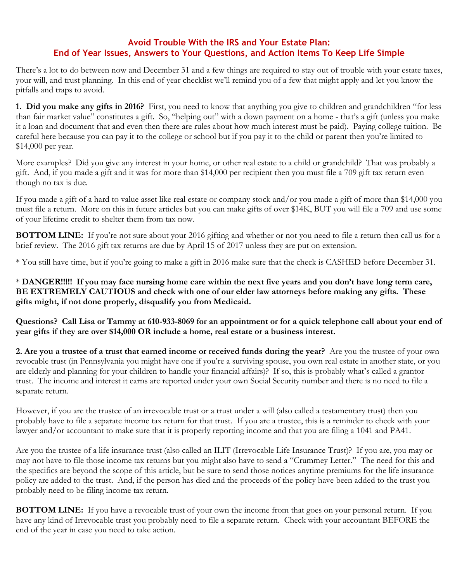#### **Avoid Trouble With the IRS and Your Estate Plan: End of Year Issues, Answers to Your Questions, and Action Items To Keep Life Simple**

There's a lot to do between now and December 31 and a few things are required to stay out of trouble with your estate taxes, your will, and trust planning. In this end of year checklist we'll remind you of a few that might apply and let you know the pitfalls and traps to avoid.

**1. Did you make any gifts in 2016?** First, you need to know that anything you give to children and grandchildren "for less than fair market value" constitutes a gift. So, "helping out" with a down payment on a home - that's a gift (unless you make it a loan and document that and even then there are rules about how much interest must be paid). Paying college tuition. Be careful here because you can pay it to the college or school but if you pay it to the child or parent then you're limited to \$14,000 per year.

More examples? Did you give any interest in your home, or other real estate to a child or grandchild? That was probably a gift. And, if you made a gift and it was for more than \$14,000 per recipient then you must file a 709 gift tax return even though no tax is due.

If you made a gift of a hard to value asset like real estate or company stock and/or you made a gift of more than \$14,000 you must file a return. More on this in future articles but you can make gifts of over \$14K, BUT you will file a 709 and use some of your lifetime credit to shelter them from tax now.

**BOTTOM LINE:** If you're not sure about your 2016 gifting and whether or not you need to file a return then call us for a brief review. The 2016 gift tax returns are due by April 15 of 2017 unless they are put on extension.

\* You still have time, but if you're going to make a gift in 2016 make sure that the check is CASHED before December 31.

\* **DANGER!!!!! If you may face nursing home care within the next five years and you don't have long term care, BE EXTREMELY CAUTIOUS and check with one of our elder law attorneys before making any gifts. These gifts might, if not done properly, disqualify you from Medicaid.** 

**Questions? Call Lisa or Tammy at 610-933-8069 for an appointment or for a quick telephone call about your end of year gifts if they are over \$14,000 OR include a home, real estate or a business interest.**

**2. Are you a trustee of a trust that earned income or received funds during the year?** Are you the trustee of your own revocable trust (in Pennsylvania you might have one if you're a surviving spouse, you own real estate in another state, or you are elderly and planning for your children to handle your financial affairs)? If so, this is probably what's called a grantor trust. The income and interest it earns are reported under your own Social Security number and there is no need to file a separate return.

However, if you are the trustee of an irrevocable trust or a trust under a will (also called a testamentary trust) then you probably have to file a separate income tax return for that trust. If you are a trustee, this is a reminder to check with your lawyer and/or accountant to make sure that it is properly reporting income and that you are filing a 1041 and PA41.

Are you the trustee of a life insurance trust (also called an ILIT (Irrevocable Life Insurance Trust)? If you are, you may or may not have to file those income tax returns but you might also have to send a "Crummey Letter." The need for this and the specifics are beyond the scope of this article, but be sure to send those notices anytime premiums for the life insurance policy are added to the trust. And, if the person has died and the proceeds of the policy have been added to the trust you probably need to be filing income tax return.

**BOTTOM LINE:** If you have a revocable trust of your own the income from that goes on your personal return. If you have any kind of Irrevocable trust you probably need to file a separate return. Check with your accountant BEFORE the end of the year in case you need to take action.